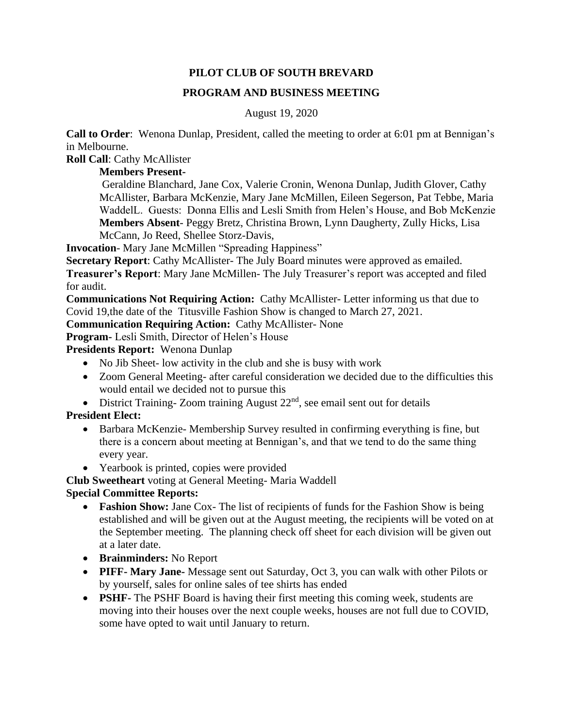## **PILOT CLUB OF SOUTH BREVARD**

## **PROGRAM AND BUSINESS MEETING**

### August 19, 2020

**Call to Order**: Wenona Dunlap, President, called the meeting to order at 6:01 pm at Bennigan's in Melbourne.

**Roll Call**: Cathy McAllister

## **Members Present-**

Geraldine Blanchard, Jane Cox, Valerie Cronin, Wenona Dunlap, Judith Glover, Cathy McAllister, Barbara McKenzie, Mary Jane McMillen, Eileen Segerson, Pat Tebbe, Maria WaddelL. Guests: Donna Ellis and Lesli Smith from Helen's House, and Bob McKenzie **Members Absent**- Peggy Bretz, Christina Brown, Lynn Daugherty, Zully Hicks, Lisa McCann, Jo Reed, Shellee Storz-Davis,

**Invocation**- Mary Jane McMillen "Spreading Happiness"

**Secretary Report**: Cathy McAllister- The July Board minutes were approved as emailed. **Treasurer's Report**: Mary Jane McMillen- The July Treasurer's report was accepted and filed for audit.

**Communications Not Requiring Action:** Cathy McAllister- Letter informing us that due to Covid 19,the date of the Titusville Fashion Show is changed to March 27, 2021.

**Communication Requiring Action:** Cathy McAllister- None

**Program-** Lesli Smith, Director of Helen's House

**Presidents Report:** Wenona Dunlap

- No Jib Sheet- low activity in the club and she is busy with work
- Zoom General Meeting- after careful consideration we decided due to the difficulties this would entail we decided not to pursue this
- District Training-Zoom training August  $22<sup>nd</sup>$ , see email sent out for details

# **President Elect:**

- Barbara McKenzie- Membership Survey resulted in confirming everything is fine, but there is a concern about meeting at Bennigan's, and that we tend to do the same thing every year.
- Yearbook is printed, copies were provided

**Club Sweetheart** voting at General Meeting- Maria Waddell

## **Special Committee Reports:**

- **Fashion Show:** Jane Cox- The list of recipients of funds for the Fashion Show is being established and will be given out at the August meeting, the recipients will be voted on at the September meeting. The planning check off sheet for each division will be given out at a later date.
- **Brainminders:** No Report
- **PIFF- Mary Jane-** Message sent out Saturday, Oct 3, you can walk with other Pilots or by yourself, sales for online sales of tee shirts has ended
- **PSHF-** The PSHF Board is having their first meeting this coming week, students are moving into their houses over the next couple weeks, houses are not full due to COVID, some have opted to wait until January to return.